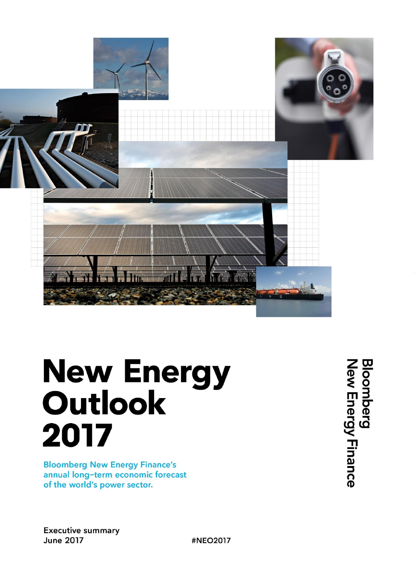

# **New Energy Outlook** 2017

**Bloomberg New Energy Finance's** annual long-term economic forecast of the world's power sector.

**Bloomberg**<br>New Energy Finance

**Executive summary June 2017** 

#NEO2017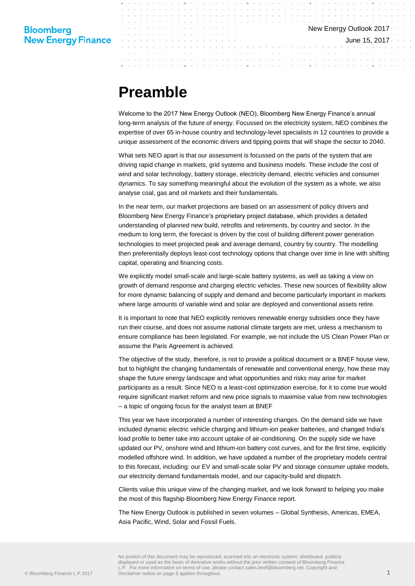June 15, 2017

# **Preamble**

Welcome to the 2017 New Energy Outlook (NEO), Bloomberg New Energy Finance's annual long-term analysis of the future of energy. Focussed on the electricity system, NEO combines the expertise of over 65 in-house country and technology-level specialists in 12 countries to provide a unique assessment of the economic drivers and tipping points that will shape the sector to 2040.

What sets NEO apart is that our assessment is focussed on the parts of the system that are driving rapid change in markets, grid systems and business models. These include the cost of wind and solar technology, battery storage, electricity demand, electric vehicles and consumer dynamics. To say something meaningful about the evolution of the system as a whole, we also analyse coal, gas and oil markets and their fundamentals.

In the near term, our market projections are based on an assessment of policy drivers and Bloomberg New Energy Finance's proprietary project database, which provides a detailed understanding of planned new build, retrofits and retirements, by country and sector. In the medium to long term, the forecast is driven by the cost of building different power generation technologies to meet projected peak and average demand, country by country. The modelling then preferentially deploys least-cost technology options that change over time in line with shifting capital, operating and financing costs.

We explicitly model small-scale and large-scale battery systems, as well as taking a view on growth of demand response and charging electric vehicles. These new sources of flexibility allow for more dynamic balancing of supply and demand and become particularly important in markets where large amounts of variable wind and solar are deployed and conventional assets retire.

It is important to note that NEO explicitly removes renewable energy subsidies once they have run their course, and does not assume national climate targets are met, unless a mechanism to ensure compliance has been legislated. For example, we not include the US Clean Power Plan or assume the Paris Agreement is achieved.

The objective of the study, therefore, is not to provide a political document or a BNEF house view, but to highlight the changing fundamentals of renewable and conventional energy, how these may shape the future energy landscape and what opportunities and risks may arise for market participants as a result. Since NEO is a least-cost optimization exercise, for it to come true would require significant market reform and new price signals to maximise value from new technologies – a topic of ongoing focus for the analyst team at BNEF

This year we have incorporated a number of interesting changes. On the demand side we have included dynamic electric vehicle charging and lithium-ion peaker batteries, and changed India's load profile to better take into account uptake of air-conditioning. On the supply side we have updated our PV, onshore wind and lithium-ion battery cost curves, and for the first time, explicitly modelled offshore wind. In addition, we have updated a number of the proprietary models central to this forecast, including: our EV and small-scale solar PV and storage consumer uptake models, our electricity demand fundamentals model, and our capacity-build and dispatch.

Clients value this unique view of the changing market, and we look forward to helping you make the most of this flagship Bloomberg New Energy Finance report.

The New Energy Outlook is published in seven volumes – Global Synthesis, Americas, EMEA, Asia Pacific, Wind, Solar and Fossil Fuels.

No portion of this document may be reproduced, scanned into an electronic system, distributed, publicly displayed or used as the basis of derivative works without the prior written consent of Bloomberg Finance L.P. For more information on terms of use, please contact sales.bnef@bloomberg.net. Copyright and Disclaimer notice on page 6 applies throughout. **1**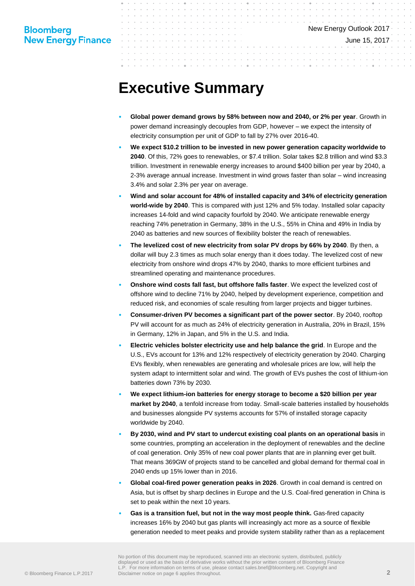June 15, 2017

# **Executive Summary**

- **Global power demand grows by 58% between now and 2040, or 2% per year**. Growth in power demand increasingly decouples from GDP, however – we expect the intensity of electricity consumption per unit of GDP to fall by 27% over 2016-40.
- **We expect \$10.2 trillion to be invested in new power generation capacity worldwide to 2040**. Of this, 72% goes to renewables, or \$7.4 trillion. Solar takes \$2.8 trillion and wind \$3.3 trillion. Investment in renewable energy increases to around \$400 billion per year by 2040, a 2-3% average annual increase. Investment in wind grows faster than solar – wind increasing 3.4% and solar 2.3% per year on average.
- **Wind and solar account for 48% of installed capacity and 34% of electricity generation world-wide by 2040**. This is compared with just 12% and 5% today. Installed solar capacity increases 14-fold and wind capacity fourfold by 2040. We anticipate renewable energy reaching 74% penetration in Germany, 38% in the U.S., 55% in China and 49% in India by 2040 as batteries and new sources of flexibility bolster the reach of renewables.
- **The levelized cost of new electricity from solar PV drops by 66% by 2040**. By then, a dollar will buy 2.3 times as much solar energy than it does today. The levelized cost of new electricity from onshore wind drops 47% by 2040, thanks to more efficient turbines and streamlined operating and maintenance procedures.
- **Onshore wind costs fall fast, but offshore falls faster**. We expect the levelized cost of offshore wind to decline 71% by 2040, helped by development experience, competition and reduced risk, and economies of scale resulting from larger projects and bigger turbines.
- **Consumer-driven PV becomes a significant part of the power sector**. By 2040, rooftop PV will account for as much as 24% of electricity generation in Australia, 20% in Brazil, 15% in Germany, 12% in Japan, and 5% in the U.S. and India.
- **Electric vehicles bolster electricity use and help balance the grid**. In Europe and the U.S., EVs account for 13% and 12% respectively of electricity generation by 2040. Charging EVs flexibly, when renewables are generating and wholesale prices are low, will help the system adapt to intermittent solar and wind. The growth of EVs pushes the cost of lithium-ion batteries down 73% by 2030.
- **We expect lithium-ion batteries for energy storage to become a \$20 billion per year market by 2040**, a tenfold increase from today. Small-scale batteries installed by households and businesses alongside PV systems accounts for 57% of installed storage capacity worldwide by 2040.
- **By 2030, wind and PV start to undercut existing coal plants on an operational basis** in some countries, prompting an acceleration in the deployment of renewables and the decline of coal generation. Only 35% of new coal power plants that are in planning ever get built. That means 369GW of projects stand to be cancelled and global demand for thermal coal in 2040 ends up 15% lower than in 2016.
- **Global coal-fired power generation peaks in 2026**. Growth in coal demand is centred on Asia, but is offset by sharp declines in Europe and the U.S. Coal-fired generation in China is set to peak within the next 10 years.
- **Gas is a transition fuel, but not in the way most people think.** Gas-fired capacity increases 16% by 2040 but gas plants will increasingly act more as a source of flexible generation needed to meet peaks and provide system stability rather than as a replacement

No portion of this document may be reproduced, scanned into an electronic system, distributed, publicly displayed or used as the basis of derivative works without the prior written consent of Bloomberg Finance L.P. For more information on terms of use, please contact sales.bnef@bloomberg.net. Copyright and Disclaimer notice on page 6 applies throughout.<br> **2** Disclaimer notice on page 6 applies throughout.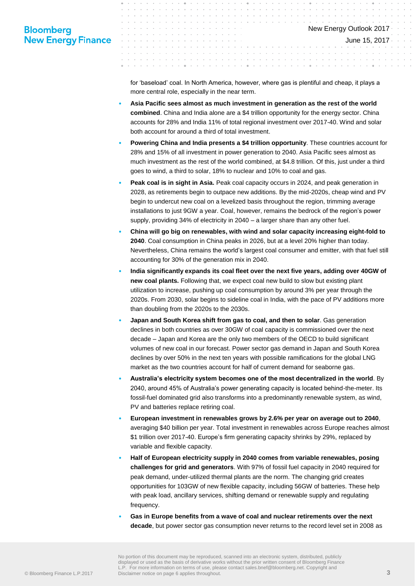## **Bloomberg New Energy Finance**

for 'baseload' coal. In North America, however, where gas is plentiful and cheap, it plays a more central role, especially in the near term.

- **Asia Pacific sees almost as much investment in generation as the rest of the world combined**. China and India alone are a \$4 trillion opportunity for the energy sector. China accounts for 28% and India 11% of total regional investment over 2017-40. Wind and solar both account for around a third of total investment.
- **Powering China and India presents a \$4 trillion opportunity**. These countries account for 28% and 15% of all investment in power generation to 2040. Asia Pacific sees almost as much investment as the rest of the world combined, at \$4.8 trillion. Of this, just under a third goes to wind, a third to solar, 18% to nuclear and 10% to coal and gas.
- **Peak coal is in sight in Asia.** Peak coal capacity occurs in 2024, and peak generation in 2028, as retirements begin to outpace new additions. By the mid-2020s, cheap wind and PV begin to undercut new coal on a levelized basis throughout the region, trimming average installations to just 9GW a year. Coal, however, remains the bedrock of the region's power supply, providing 34% of electricity in 2040 – a larger share than any other fuel.
- **China will go big on renewables, with wind and solar capacity increasing eight-fold to 2040**. Coal consumption in China peaks in 2026, but at a level 20% higher than today. Nevertheless, China remains the world's largest coal consumer and emitter, with that fuel still accounting for 30% of the generation mix in 2040.
- **India significantly expands its coal fleet over the next five years, adding over 40GW of new coal plants.** Following that, we expect coal new build to slow but existing plant utilization to increase, pushing up coal consumption by around 3% per year through the 2020s. From 2030, solar begins to sideline coal in India, with the pace of PV additions more than doubling from the 2020s to the 2030s.
- **Japan and South Korea shift from gas to coal, and then to solar**. Gas generation declines in both countries as over 30GW of coal capacity is commissioned over the next decade – Japan and Korea are the only two members of the OECD to build significant volumes of new coal in our forecast. Power sector gas demand in Japan and South Korea declines by over 50% in the next ten years with possible ramifications for the global LNG market as the two countries account for half of current demand for seaborne gas.
- **Australia's electricity system becomes one of the most decentralized in the world**. By 2040, around 45% of Australia's power generating capacity is located behind-the-meter. Its fossil-fuel dominated grid also transforms into a predominantly renewable system, as wind, PV and batteries replace retiring coal.
- **European investment in renewables grows by 2.6% per year on average out to 2040**, averaging \$40 billion per year. Total investment in renewables across Europe reaches almost \$1 trillion over 2017-40. Europe's firm generating capacity shrinks by 29%, replaced by variable and flexible capacity.
- **Half of European electricity supply in 2040 comes from variable renewables, posing challenges for grid and generators**. With 97% of fossil fuel capacity in 2040 required for peak demand, under-utilized thermal plants are the norm. The changing grid creates opportunities for 103GW of new flexible capacity, including 56GW of batteries. These help with peak load, ancillary services, shifting demand or renewable supply and regulating frequency.
- **Gas in Europe benefits from a wave of coal and nuclear retirements over the next decade**, but power sector gas consumption never returns to the record level set in 2008 as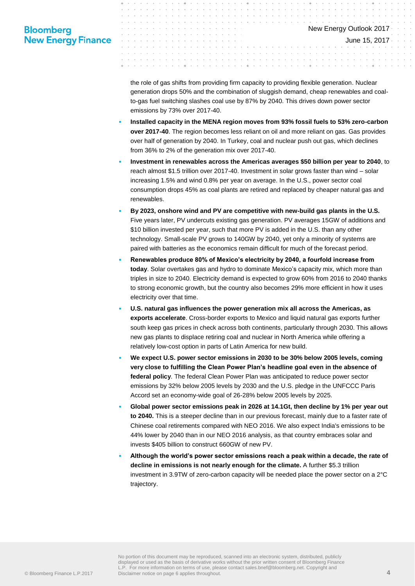## **Bloomberg New Energy Finance**

the role of gas shifts from providing firm capacity to providing flexible generation. Nuclear generation drops 50% and the combination of sluggish demand, cheap renewables and coalto-gas fuel switching slashes coal use by 87% by 2040. This drives down power sector emissions by 73% over 2017-40.

- **Installed capacity in the MENA region moves from 93% fossil fuels to 53% zero-carbon over 2017-40**. The region becomes less reliant on oil and more reliant on gas. Gas provides over half of generation by 2040. In Turkey, coal and nuclear push out gas, which declines from 36% to 2% of the generation mix over 2017-40.
- **Investment in renewables across the Americas averages \$50 billion per year to 2040**, to reach almost \$1.5 trillion over 2017-40. Investment in solar grows faster than wind – solar increasing 1.5% and wind 0.8% per year on average. In the U.S., power sector coal consumption drops 45% as coal plants are retired and replaced by cheaper natural gas and renewables.
- **By 2023, onshore wind and PV are competitive with new-build gas plants in the U.S.** Five years later, PV undercuts existing gas generation. PV averages 15GW of additions and \$10 billion invested per year, such that more PV is added in the U.S. than any other technology. Small-scale PV grows to 140GW by 2040, yet only a minority of systems are paired with batteries as the economics remain difficult for much of the forecast period.
- **Renewables produce 80% of Mexico's electricity by 2040, a fourfold increase from today**. Solar overtakes gas and hydro to dominate Mexico's capacity mix, which more than triples in size to 2040. Electricity demand is expected to grow 60% from 2016 to 2040 thanks to strong economic growth, but the country also becomes 29% more efficient in how it uses electricity over that time.
- **U.S. natural gas influences the power generation mix all across the Americas, as exports accelerate**. Cross-border exports to Mexico and liquid natural gas exports further south keep gas prices in check across both continents, particularly through 2030. This allows new gas plants to displace retiring coal and nuclear in North America while offering a relatively low-cost option in parts of Latin America for new build.
- **We expect U.S. power sector emissions in 2030 to be 30% below 2005 levels, coming very close to fulfilling the Clean Power Plan's headline goal even in the absence of federal policy**. The federal Clean Power Plan was anticipated to reduce power sector emissions by 32% below 2005 levels by 2030 and the U.S. pledge in the UNFCCC Paris Accord set an economy-wide goal of 26-28% below 2005 levels by 2025.
- **Global power sector emissions peak in 2026 at 14.1Gt, then decline by 1% per year out to 2040.** This is a steeper decline than in our previous forecast, mainly due to a faster rate of Chinese coal retirements compared with NEO 2016. We also expect India's emissions to be 44% lower by 2040 than in our NEO 2016 analysis, as that country embraces solar and invests \$405 billion to construct 660GW of new PV.
- **Although the world's power sector emissions reach a peak within a decade, the rate of decline in emissions is not nearly enough for the climate.** A further \$5.3 trillion investment in 3.9TW of zero-carbon capacity will be needed place the power sector on a 2°C trajectory.